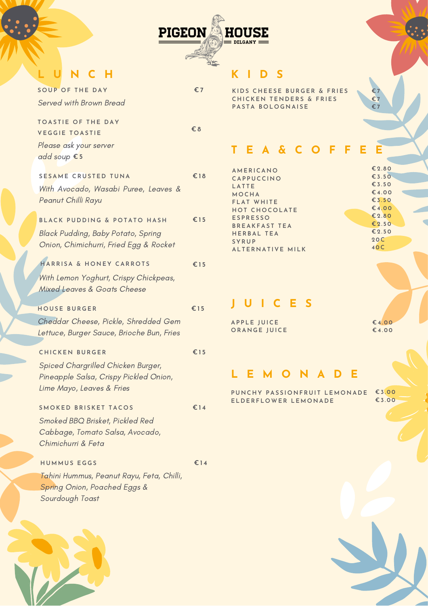

# **L U N C H**

| <b>SOUP OF THE DAY</b>                                                                                                             | €7           |
|------------------------------------------------------------------------------------------------------------------------------------|--------------|
| <b>Served with Brown Bread</b>                                                                                                     |              |
| <b>TOASTIE OF THE DAY</b><br><b>VEGGIE TOASTIE</b><br>Please ask your server                                                       | $\epsilon$ 8 |
| add soup € 5                                                                                                                       |              |
| SESAME CRUSTED TUNA<br>With Avocado, Wasabi Puree, Leaves &<br>Peanut Chilli Rayu                                                  | €18          |
| BLACK PUDDING & POTATO HASH<br>Black Pudding, Baby Potato, Spring<br>Onion, Chimichurri, Fried Egg & Rocket                        | €15          |
| HARRISA & HONEY CARROTS<br>With Lemon Yoghurt, Crispy Chickpeas,<br><b>Mixed Leaves &amp; Goats Cheese</b>                         | €15          |
| <b>HOUSE BURGER</b>                                                                                                                | €15          |
| Cheddar Cheese, Pickle, Shredded Gem<br>Lettuce, Burger Sauce, Brioche Bun, Fries                                                  |              |
| <b>CHICKEN BURGER</b><br>Spiced Chargrilled Chicken Burger,<br>Pineapple Salsa, Crispy Pickled Onion,<br>Lime Mayo, Leaves & Fries | €15          |
| <b>SMOKED BRISKET TACOS</b><br>Smoked BBQ Brisket, Pickled Red<br>Cabbage, Tomato Salsa, Avocado,<br>Chimichurri & Feta            | €14          |
| <b>HUMMUS EGGS</b><br>Tahini Hummus, Peanut Rayu, Feta, Chilli,<br>Spring Onion, Poached Eggs &<br>Sourdough Toast                 | €14          |

# **K I D S**

**KI D S C H E E S E B U R G E R & F R I E S C H ICKE N T E N D E R S & F R I E S**  $P$ **ASTA BOLOGNAISE** 

### **T E A & C O F F E E**

| AMERICANO            |
|----------------------|
| CAPPUCCINO           |
| LATTE                |
| MOCHA                |
| FLAT WHITE           |
| HOT CHOCOLATE        |
| <b>ESPRESSO</b>      |
| <b>BREAKFAST TEA</b> |
| <b>HERBAL TEA</b>    |
| SYRUP                |
| ALTERNATIVE MILK     |
|                      |

**€ 4 . 0 0 € 2 . 8 0 € 2 . 5 0 € 2 . 5 0 2 0C 4 0C**

**€ 2 . 8 0 € 3 . 5 0 € 3 . 5 0 € 4 . 0 0 € 3 . 5 0**

**€ 7 € 7 € 7**

# **J U I C E S**

**AP P L E J U ICE O RA N G E J U ICE** **€ 4 . 0 0 € 4 . 0 0**

## **L E M O N A D E**

PUNCHY PASSIONFRUIT LEMONADE €3.00  $E$  **LDERFLOWER LEMONADE** 

**€ 3 . 0 0**